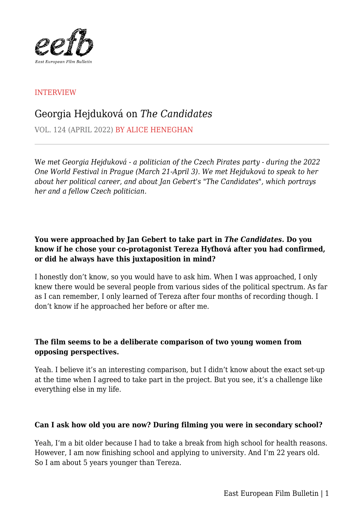

## INTERVIEW

# Georgia Hejduková on *The Candidates*

VOL. 124 (APRIL 2022) BY ALICE HENEGHAN

W*e met Georgia Hejduková - a politician of the Czech Pirates party - during the 2022 One World Festival in Prague (March 21-April 3). We met Hejduková to speak to her about her political career, and about Jan Gebert's "The Candidates", which portrays her and a fellow Czech politician.*

# **You were approached by Jan Gebert to take part in** *The Candidates***. Do you know if he chose your co-protagonist Tereza Hyťhová after you had confirmed, or did he always have this juxtaposition in mind?**

I honestly don't know, so you would have to ask him. When I was approached, I only knew there would be several people from various sides of the political spectrum. As far as I can remember, I only learned of Tereza after four months of recording though. I don't know if he approached her before or after me.

## **The film seems to be a deliberate comparison of two young women from opposing perspectives.**

Yeah. I believe it's an interesting comparison, but I didn't know about the exact set-up at the time when I agreed to take part in the project. But you see, it's a challenge like everything else in my life.

## **Can I ask how old you are now? During filming you were in secondary school?**

Yeah, I'm a bit older because I had to take a break from high school for health reasons. However, I am now finishing school and applying to university. And I'm 22 years old. So I am about 5 years younger than Tereza.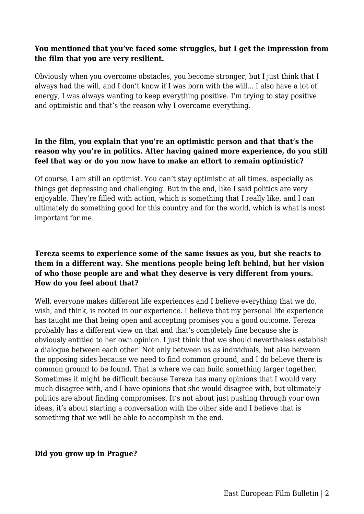#### **You mentioned that you've faced some struggles, but I get the impression from the film that you are very resilient.**

Obviously when you overcome obstacles, you become stronger, but I just think that I always had the will, and I don't know if I was born with the will... I also have a lot of energy, I was always wanting to keep everything positive. I'm trying to stay positive and optimistic and that's the reason why I overcame everything.

# **In the film, you explain that you're an optimistic person and that that's the reason why you're in politics. After having gained more experience, do you still feel that way or do you now have to make an effort to remain optimistic?**

Of course, I am still an optimist. You can't stay optimistic at all times, especially as things get depressing and challenging. But in the end, like I said politics are very enjoyable. They're filled with action, which is something that I really like, and I can ultimately do something good for this country and for the world, which is what is most important for me.

# **Tereza seems to experience some of the same issues as you, but she reacts to them in a different way. She mentions people being left behind, but her vision of who those people are and what they deserve is very different from yours. How do you feel about that?**

Well, everyone makes different life experiences and I believe everything that we do, wish, and think, is rooted in our experience. I believe that my personal life experience has taught me that being open and accepting promises you a good outcome. Tereza probably has a different view on that and that's completely fine because she is obviously entitled to her own opinion. I just think that we should nevertheless establish a dialogue between each other. Not only between us as individuals, but also between the opposing sides because we need to find common ground, and I do believe there is common ground to be found. That is where we can build something larger together. Sometimes it might be difficult because Tereza has many opinions that I would very much disagree with, and I have opinions that she would disagree with, but ultimately politics are about finding compromises. It's not about just pushing through your own ideas, it's about starting a conversation with the other side and I believe that is something that we will be able to accomplish in the end.

#### **Did you grow up in Prague?**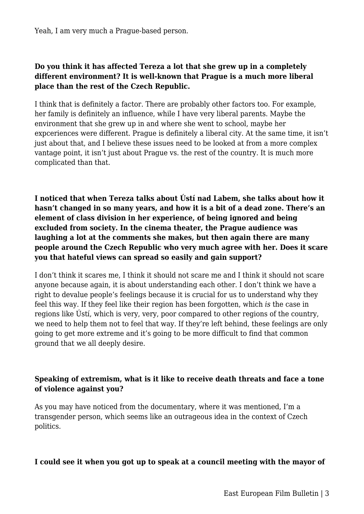Yeah, I am very much a Prague-based person.

## **Do you think it has affected Tereza a lot that she grew up in a completely different environment? It is well-known that Prague is a much more liberal place than the rest of the Czech Republic.**

I think that is definitely a factor. There are probably other factors too. For example, her family is definitely an influence, while I have very liberal parents. Maybe the environment that she grew up in and where she went to school, maybe her expceriences were different. Prague is definitely a liberal city. At the same time, it isn't just about that, and I believe these issues need to be looked at from a more complex vantage point, it isn't just about Prague vs. the rest of the country. It is much more complicated than that.

**I noticed that when Tereza talks about Ústí nad Labem, she talks about how it hasn't changed in so many years, and how it is a bit of a dead zone. There's an element of class division in her experience, of being ignored and being excluded from society. In the cinema theater, the Prague audience was laughing a lot at the comments she makes, but then again there are many people around the Czech Republic who very much agree with her. Does it scare you that hateful views can spread so easily and gain support?**

I don't think it scares me, I think it should not scare me and I think it should not scare anyone because again, it is about understanding each other. I don't think we have a right to devalue people's feelings because it is crucial for us to understand why they feel this way. If they feel like their region has been forgotten, which *is* the case in regions like Ústí, which is very, very, poor compared to other regions of the country, we need to help them not to feel that way. If they're left behind, these feelings are only going to get more extreme and it's going to be more difficult to find that common ground that we all deeply desire.

## **Speaking of extremism, what is it like to receive death threats and face a tone of violence against you?**

As you may have noticed from the documentary, where it was mentioned, I'm a transgender person, which seems like an outrageous idea in the context of Czech politics.

#### **I could see it when you got up to speak at a council meeting with the mayor of**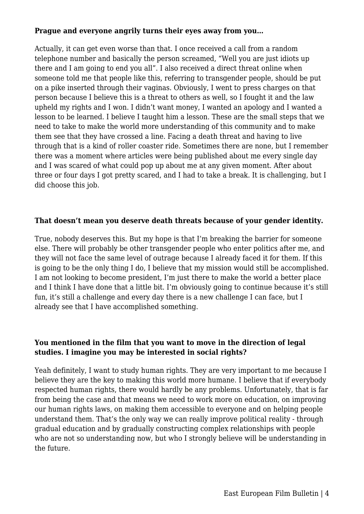#### **Prague and everyone angrily turns their eyes away from you…**

Actually, it can get even worse than that. I once received a call from a random telephone number and basically the person screamed, "Well you are just idiots up there and I am going to end you all". I also received a direct threat online when someone told me that people like this, referring to transgender people, should be put on a pike inserted through their vaginas. Obviously, I went to press charges on that person because I believe this is a threat to others as well, so I fought it and the law upheld my rights and I won. I didn't want money, I wanted an apology and I wanted a lesson to be learned. I believe I taught him a lesson. These are the small steps that we need to take to make the world more understanding of this community and to make them see that they have crossed a line. Facing a death threat and having to live through that is a kind of roller coaster ride. Sometimes there are none, but I remember there was a moment where articles were being published about me every single day and I was scared of what could pop up about me at any given moment. After about three or four days I got pretty scared, and I had to take a break. It is challenging, but I did choose this job.

#### **That doesn't mean you deserve death threats because of your gender identity.**

True, nobody deserves this. But my hope is that I'm breaking the barrier for someone else. There will probably be other transgender people who enter politics after me, and they will not face the same level of outrage because I already faced it for them. If this is going to be the only thing I do, I believe that my mission would still be accomplished. I am not looking to become president, I'm just there to make the world a better place and I think I have done that a little bit. I'm obviously going to continue because it's still fun, it's still a challenge and every day there is a new challenge I can face, but I already see that I have accomplished something.

# **You mentioned in the film that you want to move in the direction of legal studies. I imagine you may be interested in social rights?**

Yeah definitely, I want to study human rights. They are very important to me because I believe they are the key to making this world more humane. I believe that if everybody respected human rights, there would hardly be any problems. Unfortunately, that is far from being the case and that means we need to work more on education, on improving our human rights laws, on making them accessible to everyone and on helping people understand them. That's the only way we can really improve political reality - through gradual education and by gradually constructing complex relationships with people who are not so understanding now, but who I strongly believe will be understanding in the future.